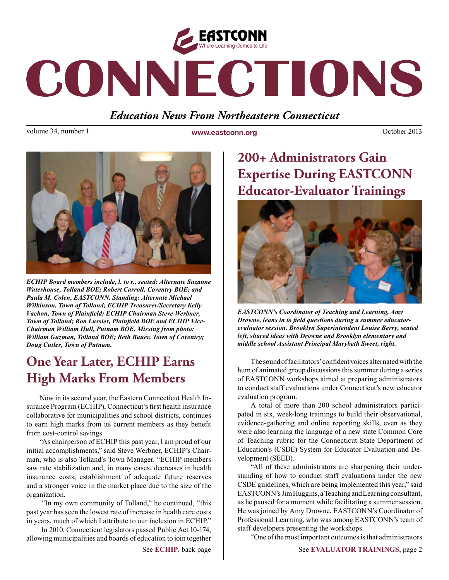

# CONNECTIONS

## *Education News From Northeastern Connecticut*

volume 34, number 1 **www.eastconn.org October 2013 October 2013** 



*ECHIP Board members include, l. to r., seated: Alternate Suzanne Waterhouse, Tolland BOE; Robert Carroll, Coventry BOE; and Paula M. Colen, EASTCONN. Standing: Alternate Michael Wilkinson, Town of Tolland; ECHIP Treasurer/Secretary Kelly Vachon, Town of Plainfeld; ECHIP Chairman Steve Werbner, Town of Tolland; Ron Lussier, Plainfeld BOE and ECHIP Vice-Chairman William Hull, Putnam BOE. Missing from photo: William Guzman, Tolland BOE; Beth Bauer, Town of Coventry; Doug Cutler, Town of Putnam.* 

# **One Year Later, ECHIP Earns High Marks From Members**

Now in its second year, the Eastern Connecticut Health Insurance Program (ECHIP), Connecticut's frst health insurance collaborative for municipalities and school districts, continues to earn high marks from its current members as they beneft from cost-control savings.

"As chairperson of ECHIP this past year, I am proud of our initial accomplishments," said Steve Werbner, ECHIP's Chairman, who is also Tolland's Town Manager. "ECHIP members saw rate stabilization and, in many cases, decreases in health insurance costs, establishment of adequate future reserves and a stronger voice in the market place due to the size of the organization.

 "In my own community of Tolland," he continued, "this past year has seen the lowest rate of increase in health care costs in years, much of which I attribute to our inclusion in ECHIP."

 In 2010, Connecticut legislators passed Public Act 10-174, allowing municipalities and boards of education to join together

# **200+ Administrators Gain Expertise During EASTCONN Educator-Evaluator Trainings**



*EASTCONN's Coordinator of Teaching and Learning, Amy Drowne, leans in to feld questions during a summer educatorevaluator session. Brooklyn Superintendent Louise Berry, seated left, shared ideas with Drowne and Brooklyn elementary and middle school Assistant Principal Marybeth Sweet, right.* 

The sound of facilitators' confdent voices alternated with the hum of animated group discussions this summer during a series of EASTCONN workshops aimed at preparing administrators to conduct staff evaluations under Connecticut's new educator evaluation program.

A total of more than 200 school administrators participated in six, week-long trainings to build their observational, evidence-gathering and online reporting skills, even as they were also learning the language of a new state Common Core of Teaching rubric for the Connecticut State Department of Education's (CSDE) System for Educator Evaluation and Development (SEED).

"All of these administrators are sharpening their understanding of how to conduct staff evaluations under the new CSDE guidelines, which are being implemented this year," said EASTCONN's Jim Huggins, a Teaching and Learning consultant, as he paused for a moment while facilitating a summer session. He was joined by Amy Drowne, EASTCONN's Coordinator of Professional Learning, who was among EASTCONN's team of staff developers presenting the workshops.

"One of the most important outcomes is that administrators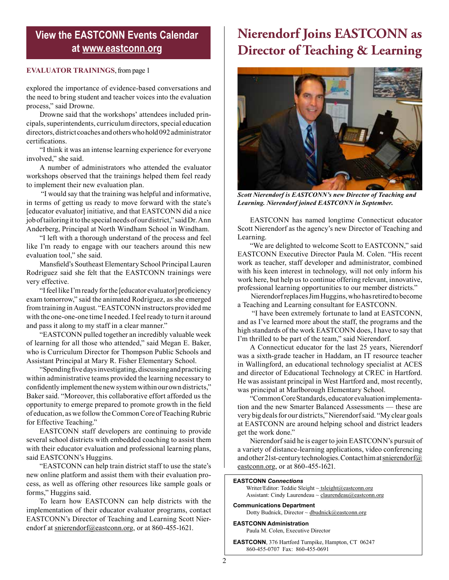## **View the EASTCONN Events Calendar at<www.eastconn.org>**

### **EVALUATOR TRAININGS**, from page 1

explored the importance of evidence-based conversations and the need to bring student and teacher voices into the evaluation process," said Drowne.

Drowne said that the workshops' attendees included principals, superintendents, curriculum directors, special education directors, district coaches and others who hold 092 administrator certifcations.

"I think it was an intense learning experience for everyone involved," she said.

A number of administrators who attended the evaluator workshops observed that the trainings helped them feel ready to implement their new evaluation plan.

 "I would say that the training was helpful and informative, in terms of getting us ready to move forward with the state's [educator evaluator] initiative, and that EASTCONN did a nice job of tailoring it to the special needs of our district," said Dr. Ann Anderberg, Principal at North Windham School in Windham.

"I left with a thorough understand of the process and feel like I'm ready to engage with our teachers around this new evaluation tool," she said.

Mansfeld's Southeast Elementary School Principal Lauren Rodriguez said she felt that the EASTCONN trainings were very effective.

"I feel like I'm ready for the [educator evaluator] profciency exam tomorrow," said the animated Rodriguez, as she emerged from training in August. "EASTCONN instructors provided me with the one-one-one time I needed. I feel ready to turn it around and pass it along to my staff in a clear manner."

"EASTCONN pulled together an incredibly valuable week of learning for all those who attended," said Megan E. Baker, who is Curriculum Director for Thompson Public Schools and Assistant Principal at Mary R. Fisher Elementary School.

"Spending fve days investigating, discussing and practicing within administrative teams provided the learning necessary to confdently implement the new system within our own districts," Baker said. "Moreover, this collaborative effort afforded us the opportunity to emerge prepared to promote growth in the feld of education, as we follow the Common Core of Teaching Rubric for Effective Teaching."

EASTCONN staff developers are continuing to provide several school districts with embedded coaching to assist them with their educator evaluation and professional learning plans, said EASTCONN's Huggins.

"EASTCONN can help train district staff to use the state's new online platform and assist them with their evaluation process, as well as offering other resources like sample goals or forms," Huggins said.

To learn how EASTCONN can help districts with the implementation of their educator evaluator programs, contact EASTCONN's Director of Teaching and Learning Scott Nierendorf at [snierendorf@eastconn.or](mailto:snierendorf@eastconn.org)g, or at 860-455-1621.

# **Nierendorf Joins EASTCONN as Director of Teaching & Learning**



*Scott Nierendorf is EASTCONN's new Director of Teaching and Learning. Nierendorf joined EASTCONN in September.*

EASTCONN has named longtime Connecticut educator Scott Nierendorf as the agency's new Director of Teaching and Learning.

"We are delighted to welcome Scott to EASTCONN," said EASTCONN Executive Director Paula M. Colen. "His recent work as teacher, staff developer and administrator, combined with his keen interest in technology, will not only inform his work here, but help us to continue offering relevant, innovative, professional learning opportunities to our member districts."

 Nierendorf replaces Jim Huggins, who has retired to become a Teaching and Learning consultant for EASTCONN.

 "I have been extremely fortunate to land at EASTCONN, and as I've learned more about the staff, the programs and the high standards of the work EASTCONN does, I have to say that I'm thrilled to be part of the team," said Nierendorf.

A Connecticut educator for the last 25 years, Nierendorf was a sixth-grade teacher in Haddam, an IT resource teacher in Wallingford, an educational technology specialist at ACES and director of Educational Technology at CREC in Hartford. He was assistant principal in West Hartford and, most recently, was principal at Marlborough Elementary School.

"Common Core Standards, educator evaluation implementation and the new Smarter Balanced Assessments — these are very big deals for our districts," Nierendorf said. "My clear goals at EASTCONN are around helping school and district leaders get the work done."

Nierendorf said he is eager to join EASTCONN's pursuit of a variety of distance-learning applications, video conferencing and other 21st-century technologies. Contact him at [snierendorf@](mailto:snierendorf@eastconn.org) [eastconn.or](mailto:snierendorf@eastconn.org)g, or at 860-455-1621.

#### **EASTCONN** *Connections*

Writer/Editor: Teddie Sleight ~ tsleight@eastconn.org Assistant: Cindy Laurendeau ~ [claurendeau@eastconn.org](mailto:claurendeau@eastconn.org)

**[Communications Department](%20mailto:connections@eastconn.org)** [Dotty Budnick](mailto:dbudnick@eastconn.org), Director ~ dbudnick@eastconn.org

#### **EASTCONN Administration**

Paula M. Colen, Executive Director

**EASTCONN**, 376 Hartford Turnpike, Hampton, CT 06247 860-455-0707 Fax: 860-455-0691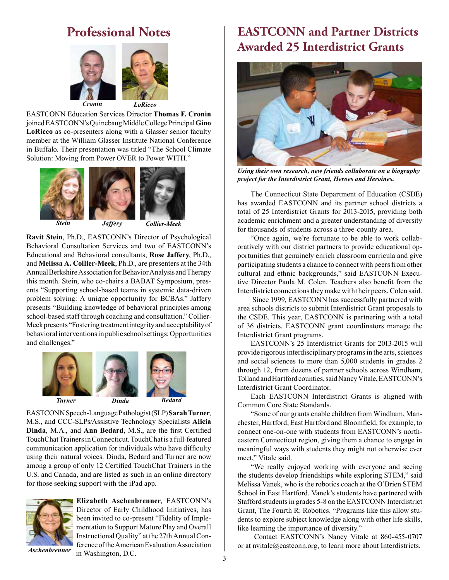## **Professional Notes**



EASTCONN Education Services Director **Thomas F. Cronin**  joined EASTCONN's Quinebaug Middle College Principal **Gino LoRicco** as co-presenters along with a Glasser senior faculty member at the William Glasser Institute National Conference in Buffalo. Their presentation was titled "The School Climate Solution: Moving from Power OVER to Power WITH."





*Stein Jaffery Collier-Meek*

**Ravit Stein**, Ph.D., EASTCONN's Director of Psychological Behavioral Consultation Services and two of EASTCONN's Educational and Behavioral consultants, **Rose Jaffery**, Ph.D., and **Melissa A. Collier-Meek**, Ph.D., are presenters at the 34th Annual Berkshire Association for Behavior Analysis and Therapy this month. Stein, who co-chairs a BABAT Symposium, presents "Supporting school-based teams in systemic data-driven problem solving: A unique opportunity for BCBAs." Jaffery presents "Building knowledge of behavioral principles among school-based staff through coaching and consultation." Collier-Meek presents "Fostering treatment integrity and acceptability of behavioral interventions in public school settings: Opportunities and challenges."





EASTCONN Speech-Language Pathologist (SLP) **Sarah Turner**, M.S., and CCC-SLPs/Assistive Technology Specialists **Alicia Dinda**, M.A., and **Ann Bedard**, M.S., are the frst Certifed TouchChat Trainers in Connecticut. TouchChat is a full-featured communication application for individuals who have diffculty using their natural voices. Dinda, Bedard and Turner are now among a group of only 12 Certifed TouchChat Trainers in the U.S. and Canada, and are listed as such in an online directory for those seeking support with the iPad app.



**Elizabeth Aschenbrenner**, EASTCONN's Director of Early Childhood Initiatives, has been invited to co-present "Fidelity of Implementation to Support Mature Play and Overall Instructional Quality" at the 27th Annual Conference of the American Evaluation Association in Washington, D.C.  $\frac{1}{3}$ 

*Aschenbrenner*

## **EASTCONN and Partner Districts Awarded 25 Interdistrict Grants**



*Using their own research, new friends collaborate on a biography project for the Interdistrict Grant, Heroes and Heroines.* 

The Connecticut State Department of Education (CSDE) has awarded EASTCONN and its partner school districts a total of 25 Interdistrict Grants for 2013-2015, providing both academic enrichment and a greater understanding of diversity for thousands of students across a three-county area.

"Once again, we're fortunate to be able to work collaboratively with our district partners to provide educational opportunities that genuinely enrich classroom curricula and give participating students a chance to connect with peers from other cultural and ethnic backgrounds," said EASTCONN Executive Director Paula M. Colen. Teachers also beneft from the Interdistrict connections they make with their peers, Colen said.

 Since 1999, EASTCONN has successfully partnered with area schools districts to submit Interdistrict Grant proposals to the CSDE. This year, EASTCONN is partnering with a total of 36 districts. EASTCONN grant coordinators manage the Interdistrict Grant programs.

EASTCONN's 25 Interdistrict Grants for 2013-2015 will provide rigorous interdisciplinary programs in the arts, sciences and social sciences to more than 5,000 students in grades 2 through 12, from dozens of partner schools across Windham, Tolland and Hartford counties, said Nancy Vitale, EASTCONN's Interdistrict Grant Coordinator.

Each EASTCONN Interdistrict Grants is aligned with Common Core State Standards.

"Some of our grants enable children from Windham, Manchester, Hartford, East Hartford and Bloomfeld, for example, to connect one-on-one with students from EASTCONN's northeastern Connecticut region, giving them a chance to engage in meaningful ways with students they might not otherwise ever meet," Vitale said.

"We really enjoyed working with everyone and seeing the students develop friendships while exploring STEM," said Melissa Vanek, who is the robotics coach at the O'Brien STEM School in East Hartford. Vanek's students have partnered with Stafford students in grades 5-8 on the EASTCONN Interdistrict Grant, The Fourth R: Robotics. "Programs like this allow students to explore subject knowledge along with other life skills, like learning the importance of diversity."

 Contact EASTCONN's Nancy Vitale at 860-455-0707 or at [nvitale@eastconn.or](mailto:nvitale@eastconn.org)g, to learn more about Interdistricts.